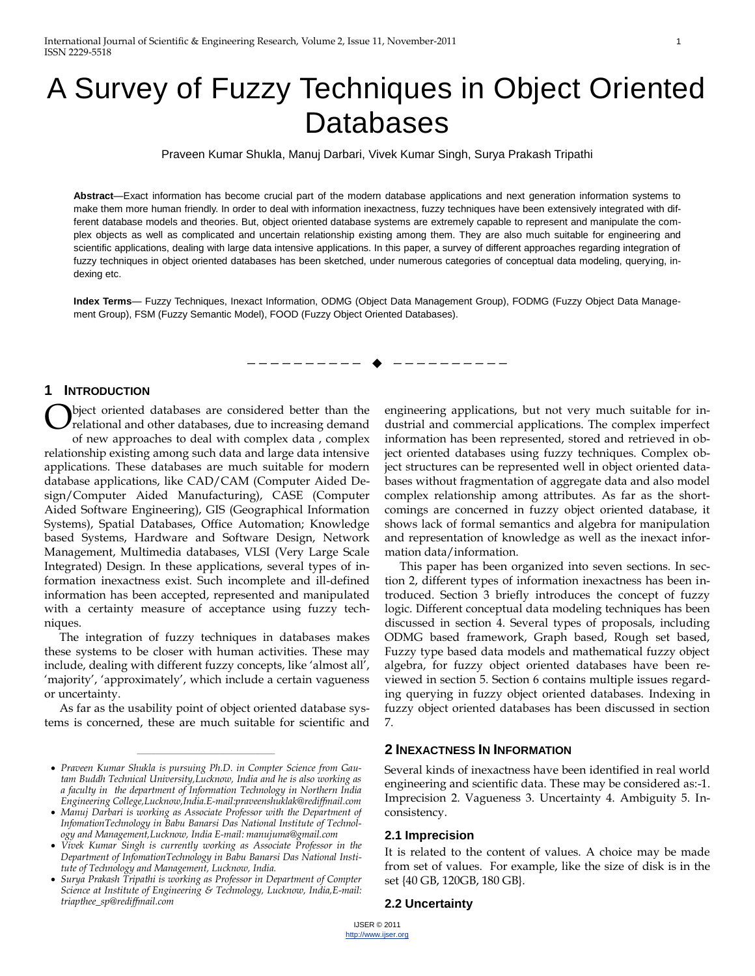# A Survey of Fuzzy Techniques in Object Oriented **Databases**

Praveen Kumar Shukla, Manuj Darbari, Vivek Kumar Singh, Surya Prakash Tripathi

**Abstract**—Exact information has become crucial part of the modern database applications and next generation information systems to make them more human friendly. In order to deal with information inexactness, fuzzy techniques have been extensively integrated with different database models and theories. But, object oriented database systems are extremely capable to represent and manipulate the complex objects as well as complicated and uncertain relationship existing among them. They are also much suitable for engineering and scientific applications, dealing with large data intensive applications. In this paper, a survey of different approaches regarding integration of fuzzy techniques in object oriented databases has been sketched, under numerous categories of conceptual data modeling, querying, indexing etc.

**Index Terms**— Fuzzy Techniques, Inexact Information, ODMG (Object Data Management Group), FODMG (Fuzzy Object Data Management Group), FSM (Fuzzy Semantic Model), FOOD (Fuzzy Object Oriented Databases).

---------**- ♦** ----------

#### **1 INTRODUCTION**

bject oriented databases are considered better than the relational and other databases, due to increasing demand of new approaches to deal with complex data , complex relationship existing among such data and large data intensive applications. These databases are much suitable for modern database applications, like CAD/CAM (Computer Aided Design/Computer Aided Manufacturing), CASE (Computer Aided Software Engineering), GIS (Geographical Information Systems), Spatial Databases, Office Automation; Knowledge based Systems, Hardware and Software Design, Network Management, Multimedia databases, VLSI (Very Large Scale Integrated) Design. In these applications, several types of information inexactness exist. Such incomplete and ill-defined information has been accepted, represented and manipulated with a certainty measure of acceptance using fuzzy techniques. O

The integration of fuzzy techniques in databases makes these systems to be closer with human activities. These may include, dealing with different fuzzy concepts, like 'almost all', ‗majority', ‗approximately', which include a certain vagueness or uncertainty.

As far as the usability point of object oriented database systems is concerned, these are much suitable for scientific and

————————————————

engineering applications, but not very much suitable for industrial and commercial applications. The complex imperfect information has been represented, stored and retrieved in object oriented databases using fuzzy techniques. Complex object structures can be represented well in object oriented databases without fragmentation of aggregate data and also model complex relationship among attributes. As far as the shortcomings are concerned in fuzzy object oriented database, it shows lack of formal semantics and algebra for manipulation and representation of knowledge as well as the inexact information data/information.

This paper has been organized into seven sections. In section 2, different types of information inexactness has been introduced. Section 3 briefly introduces the concept of fuzzy logic. Different conceptual data modeling techniques has been discussed in section 4. Several types of proposals, including ODMG based framework, Graph based, Rough set based, Fuzzy type based data models and mathematical fuzzy object algebra, for fuzzy object oriented databases have been reviewed in section 5. Section 6 contains multiple issues regarding querying in fuzzy object oriented databases. Indexing in fuzzy object oriented databases has been discussed in section 7.

# **2 INEXACTNESS IN INFORMATION**

Several kinds of inexactness have been identified in real world engineering and scientific data. These may be considered as:-1. Imprecision 2. Vagueness 3. Uncertainty 4. Ambiguity 5. Inconsistency.

#### **2.1 Imprecision**

It is related to the content of values. A choice may be made from set of values. For example, like the size of disk is in the set {40 GB, 120GB, 180 GB}.

#### **2.2 Uncertainty**

*Praveen Kumar Shukla is pursuing Ph.D. in Compter Science from Gautam Buddh Technical University,Lucknow, India and he is also working as a faculty in the department of Information Technology in Northern India Engineering College,Lucknow,India.E-mail:praveenshuklak@rediffmail.com*

*Manuj Darbari is working as Associate Professor with the Department of InfomationTechnology in Babu Banarsi Das National Institute of Technology and Management,Lucknow, India E-mail: manujuma@gmail.com*

*Vivek Kumar Singh is currently working as Associate Professor in the Department of InfomationTechnology in Babu Banarsi Das National Institute of Technology and Management, Lucknow, India.* 

*Surya Prakash Tripathi is working as Professor in Department of Compter Science at Institute of Engineering & Technology, Lucknow, India,E-mail: triapthee\_sp@rediffmail.com*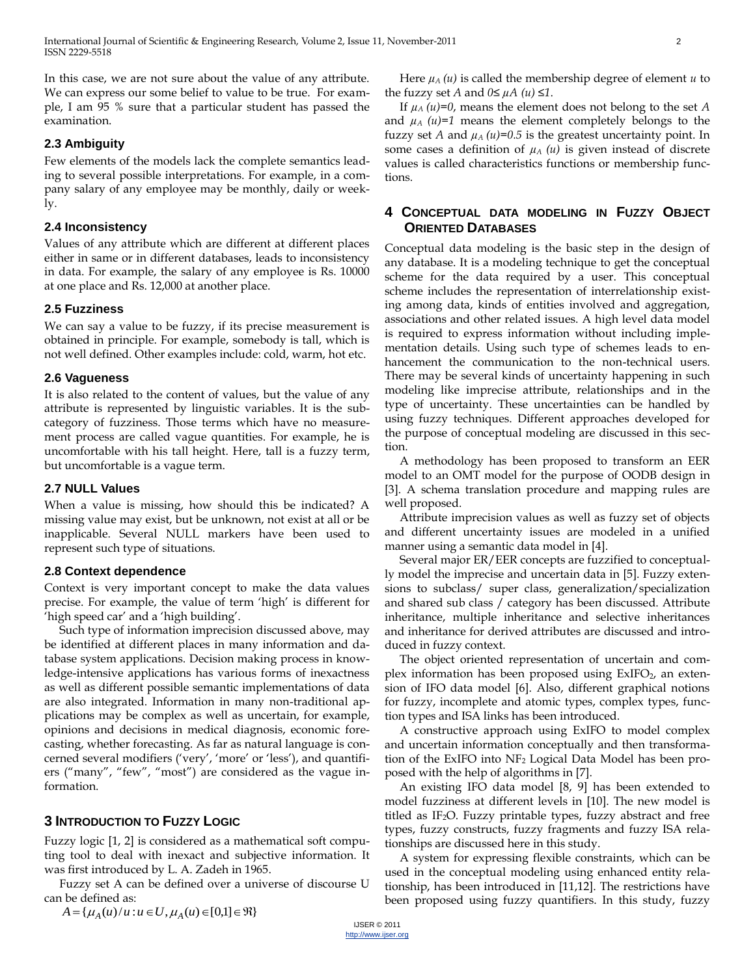In this case, we are not sure about the value of any attribute. We can express our some belief to value to be true. For example, I am 95 % sure that a particular student has passed the examination.

# **2.3 Ambiguity**

Few elements of the models lack the complete semantics leading to several possible interpretations. For example, in a company salary of any employee may be monthly, daily or weekly.

# **2.4 Inconsistency**

Values of any attribute which are different at different places either in same or in different databases, leads to inconsistency in data. For example, the salary of any employee is Rs. 10000 at one place and Rs. 12,000 at another place.

# **2.5 Fuzziness**

We can say a value to be fuzzy, if its precise measurement is obtained in principle. For example, somebody is tall, which is not well defined. Other examples include: cold, warm, hot etc.

#### **2.6 Vagueness**

It is also related to the content of values, but the value of any attribute is represented by linguistic variables. It is the subcategory of fuzziness. Those terms which have no measurement process are called vague quantities. For example, he is uncomfortable with his tall height. Here, tall is a fuzzy term, but uncomfortable is a vague term.

# **2.7 NULL Values**

When a value is missing, how should this be indicated? A missing value may exist, but be unknown, not exist at all or be inapplicable. Several NULL markers have been used to represent such type of situations.

#### **2.8 Context dependence**

Context is very important concept to make the data values precise. For example, the value of term 'high' is different for 'high speed car' and a 'high building'.

Such type of information imprecision discussed above, may be identified at different places in many information and database system applications. Decision making process in knowledge-intensive applications has various forms of inexactness as well as different possible semantic implementations of data are also integrated. Information in many non-traditional applications may be complex as well as uncertain, for example, opinions and decisions in medical diagnosis, economic forecasting, whether forecasting. As far as natural language is concerned several modifiers ('very', 'more' or 'less'), and quantifiers ("many", "few", "most") are considered as the vague information.

# **3 INTRODUCTION TO FUZZY LOGIC**

Fuzzy logic [1, 2] is considered as a mathematical soft computing tool to deal with inexact and subjective information. It was first introduced by L. A. Zadeh in 1965.

Fuzzy set A can be defined over a universe of discourse U can be defined as:

 $A = {\mu_A(u)/u : u \in U, \mu_A(u) \in [0,1] \in \Re}$ 

Here  $\mu_A(u)$  is called the membership degree of element  $u$  to the fuzzy set *A* and  $0 \leq \mu A$  (*u*)  $\leq 1$ .

If  $\mu_A(u)=0$ , means the element does not belong to the set *A* and  $\mu_A$   $(u)=1$  means the element completely belongs to the fuzzy set *A* and  $\mu_A(u)=0.5$  is the greatest uncertainty point. In some cases a definition of  $\mu_A(u)$  is given instead of discrete values is called characteristics functions or membership functions.

# **4 CONCEPTUAL DATA MODELING IN FUZZY OBJECT ORIENTED DATABASES**

Conceptual data modeling is the basic step in the design of any database. It is a modeling technique to get the conceptual scheme for the data required by a user. This conceptual scheme includes the representation of interrelationship existing among data, kinds of entities involved and aggregation, associations and other related issues. A high level data model is required to express information without including implementation details. Using such type of schemes leads to enhancement the communication to the non-technical users. There may be several kinds of uncertainty happening in such modeling like imprecise attribute, relationships and in the type of uncertainty. These uncertainties can be handled by using fuzzy techniques. Different approaches developed for the purpose of conceptual modeling are discussed in this section.

A methodology has been proposed to transform an EER model to an OMT model for the purpose of OODB design in [3]. A schema translation procedure and mapping rules are well proposed.

Attribute imprecision values as well as fuzzy set of objects and different uncertainty issues are modeled in a unified manner using a semantic data model in [4].

Several major ER/EER concepts are fuzzified to conceptually model the imprecise and uncertain data in [5]. Fuzzy extensions to subclass/ super class, generalization/specialization and shared sub class / category has been discussed. Attribute inheritance, multiple inheritance and selective inheritances and inheritance for derived attributes are discussed and introduced in fuzzy context.

The object oriented representation of uncertain and complex information has been proposed using  $ExIFO<sub>2</sub>$ , an extension of IFO data model [6]. Also, different graphical notions for fuzzy, incomplete and atomic types, complex types, function types and ISA links has been introduced.

A constructive approach using ExIFO to model complex and uncertain information conceptually and then transformation of the ExIFO into NF<sub>2</sub> Logical Data Model has been proposed with the help of algorithms in [7].

An existing IFO data model [8, 9] has been extended to model fuzziness at different levels in [10]. The new model is titled as IF<sub>2</sub>O. Fuzzy printable types, fuzzy abstract and free types, fuzzy constructs, fuzzy fragments and fuzzy ISA relationships are discussed here in this study.

A system for expressing flexible constraints, which can be used in the conceptual modeling using enhanced entity relationship, has been introduced in [11,12]. The restrictions have been proposed using fuzzy quantifiers. In this study, fuzzy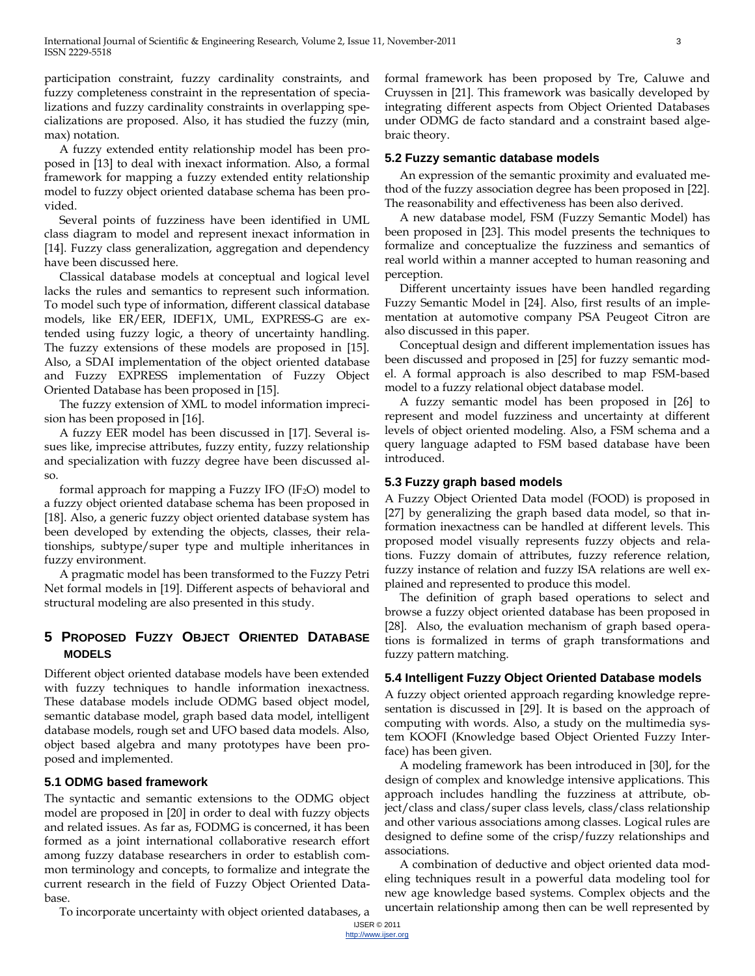participation constraint, fuzzy cardinality constraints, and fuzzy completeness constraint in the representation of specializations and fuzzy cardinality constraints in overlapping specializations are proposed. Also, it has studied the fuzzy (min, max) notation.

A fuzzy extended entity relationship model has been proposed in [13] to deal with inexact information. Also, a formal framework for mapping a fuzzy extended entity relationship model to fuzzy object oriented database schema has been provided.

Several points of fuzziness have been identified in UML class diagram to model and represent inexact information in [14]. Fuzzy class generalization, aggregation and dependency have been discussed here.

Classical database models at conceptual and logical level lacks the rules and semantics to represent such information. To model such type of information, different classical database models, like ER/EER, IDEF1X, UML, EXPRESS-G are extended using fuzzy logic, a theory of uncertainty handling. The fuzzy extensions of these models are proposed in [15]. Also, a SDAI implementation of the object oriented database and Fuzzy EXPRESS implementation of Fuzzy Object Oriented Database has been proposed in [15].

The fuzzy extension of XML to model information imprecision has been proposed in [16].

A fuzzy EER model has been discussed in [17]. Several issues like, imprecise attributes, fuzzy entity, fuzzy relationship and specialization with fuzzy degree have been discussed also.

formal approach for mapping a Fuzzy IFO (IF<sub>2</sub>O) model to a fuzzy object oriented database schema has been proposed in [18]. Also, a generic fuzzy object oriented database system has been developed by extending the objects, classes, their relationships, subtype/super type and multiple inheritances in fuzzy environment.

A pragmatic model has been transformed to the Fuzzy Petri Net formal models in [19]. Different aspects of behavioral and structural modeling are also presented in this study.

# **5 PROPOSED FUZZY OBJECT ORIENTED DATABASE MODELS**

Different object oriented database models have been extended with fuzzy techniques to handle information inexactness. These database models include ODMG based object model, semantic database model, graph based data model, intelligent database models, rough set and UFO based data models. Also, object based algebra and many prototypes have been proposed and implemented.

# **5.1 ODMG based framework**

The syntactic and semantic extensions to the ODMG object model are proposed in [20] in order to deal with fuzzy objects and related issues. As far as, FODMG is concerned, it has been formed as a joint international collaborative research effort among fuzzy database researchers in order to establish common terminology and concepts, to formalize and integrate the current research in the field of Fuzzy Object Oriented Database.

To incorporate uncertainty with object oriented databases, a

formal framework has been proposed by Tre, Caluwe and Cruyssen in [21]. This framework was basically developed by integrating different aspects from Object Oriented Databases under ODMG de facto standard and a constraint based algebraic theory.

#### **5.2 Fuzzy semantic database models**

An expression of the semantic proximity and evaluated method of the fuzzy association degree has been proposed in [22]. The reasonability and effectiveness has been also derived.

A new database model, FSM (Fuzzy Semantic Model) has been proposed in [23]. This model presents the techniques to formalize and conceptualize the fuzziness and semantics of real world within a manner accepted to human reasoning and perception.

Different uncertainty issues have been handled regarding Fuzzy Semantic Model in [24]. Also, first results of an implementation at automotive company PSA Peugeot Citron are also discussed in this paper.

Conceptual design and different implementation issues has been discussed and proposed in [25] for fuzzy semantic model. A formal approach is also described to map FSM-based model to a fuzzy relational object database model.

A fuzzy semantic model has been proposed in [26] to represent and model fuzziness and uncertainty at different levels of object oriented modeling. Also, a FSM schema and a query language adapted to FSM based database have been introduced.

# **5.3 Fuzzy graph based models**

A Fuzzy Object Oriented Data model (FOOD) is proposed in [27] by generalizing the graph based data model, so that information inexactness can be handled at different levels. This proposed model visually represents fuzzy objects and relations. Fuzzy domain of attributes, fuzzy reference relation, fuzzy instance of relation and fuzzy ISA relations are well explained and represented to produce this model.

The definition of graph based operations to select and browse a fuzzy object oriented database has been proposed in [28]. Also, the evaluation mechanism of graph based operations is formalized in terms of graph transformations and fuzzy pattern matching.

#### **5.4 Intelligent Fuzzy Object Oriented Database models**

A fuzzy object oriented approach regarding knowledge representation is discussed in [29]. It is based on the approach of computing with words. Also, a study on the multimedia system KOOFI (Knowledge based Object Oriented Fuzzy Interface) has been given.

A modeling framework has been introduced in [30], for the design of complex and knowledge intensive applications. This approach includes handling the fuzziness at attribute, object/class and class/super class levels, class/class relationship and other various associations among classes. Logical rules are designed to define some of the crisp/fuzzy relationships and associations.

A combination of deductive and object oriented data modeling techniques result in a powerful data modeling tool for new age knowledge based systems. Complex objects and the uncertain relationship among then can be well represented by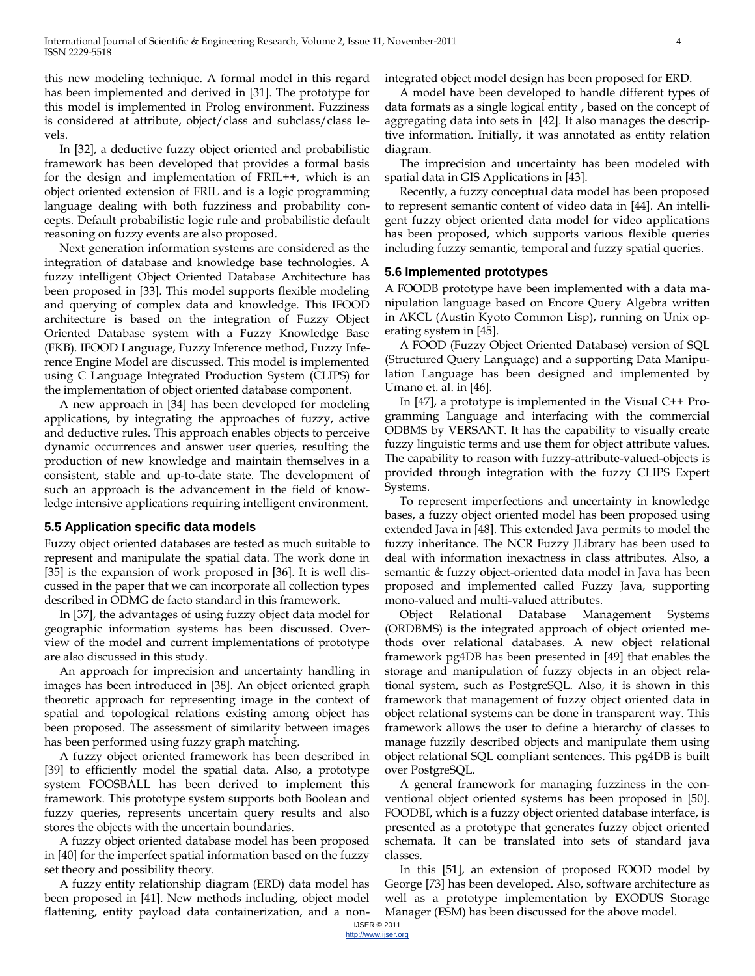this new modeling technique. A formal model in this regard has been implemented and derived in [31]. The prototype for this model is implemented in Prolog environment. Fuzziness is considered at attribute, object/class and subclass/class levels.

In [32], a deductive fuzzy object oriented and probabilistic framework has been developed that provides a formal basis for the design and implementation of FRIL++, which is an object oriented extension of FRIL and is a logic programming language dealing with both fuzziness and probability concepts. Default probabilistic logic rule and probabilistic default reasoning on fuzzy events are also proposed.

Next generation information systems are considered as the integration of database and knowledge base technologies. A fuzzy intelligent Object Oriented Database Architecture has been proposed in [33]. This model supports flexible modeling and querying of complex data and knowledge. This IFOOD architecture is based on the integration of Fuzzy Object Oriented Database system with a Fuzzy Knowledge Base (FKB). IFOOD Language, Fuzzy Inference method, Fuzzy Inference Engine Model are discussed. This model is implemented using C Language Integrated Production System (CLIPS) for the implementation of object oriented database component.

A new approach in [34] has been developed for modeling applications, by integrating the approaches of fuzzy, active and deductive rules. This approach enables objects to perceive dynamic occurrences and answer user queries, resulting the production of new knowledge and maintain themselves in a consistent, stable and up-to-date state. The development of such an approach is the advancement in the field of knowledge intensive applications requiring intelligent environment.

#### **5.5 Application specific data models**

Fuzzy object oriented databases are tested as much suitable to represent and manipulate the spatial data. The work done in [35] is the expansion of work proposed in [36]. It is well discussed in the paper that we can incorporate all collection types described in ODMG de facto standard in this framework.

In [37], the advantages of using fuzzy object data model for geographic information systems has been discussed. Overview of the model and current implementations of prototype are also discussed in this study.

An approach for imprecision and uncertainty handling in images has been introduced in [38]. An object oriented graph theoretic approach for representing image in the context of spatial and topological relations existing among object has been proposed. The assessment of similarity between images has been performed using fuzzy graph matching.

A fuzzy object oriented framework has been described in [39] to efficiently model the spatial data. Also, a prototype system FOOSBALL has been derived to implement this framework. This prototype system supports both Boolean and fuzzy queries, represents uncertain query results and also stores the objects with the uncertain boundaries.

A fuzzy object oriented database model has been proposed in [40] for the imperfect spatial information based on the fuzzy set theory and possibility theory.

A fuzzy entity relationship diagram (ERD) data model has been proposed in [41]. New methods including, object model flattening, entity payload data containerization, and a nonintegrated object model design has been proposed for ERD.

A model have been developed to handle different types of data formats as a single logical entity , based on the concept of aggregating data into sets in [42]. It also manages the descriptive information. Initially, it was annotated as entity relation diagram.

The imprecision and uncertainty has been modeled with spatial data in GIS Applications in [43].

Recently, a fuzzy conceptual data model has been proposed to represent semantic content of video data in [44]. An intelligent fuzzy object oriented data model for video applications has been proposed, which supports various flexible queries including fuzzy semantic, temporal and fuzzy spatial queries.

#### **5.6 Implemented prototypes**

A FOODB prototype have been implemented with a data manipulation language based on Encore Query Algebra written in AKCL (Austin Kyoto Common Lisp), running on Unix operating system in [45].

A FOOD (Fuzzy Object Oriented Database) version of SQL (Structured Query Language) and a supporting Data Manipulation Language has been designed and implemented by Umano et. al. in [46].

In [47], a prototype is implemented in the Visual C++ Programming Language and interfacing with the commercial ODBMS by VERSANT. It has the capability to visually create fuzzy linguistic terms and use them for object attribute values. The capability to reason with fuzzy-attribute-valued-objects is provided through integration with the fuzzy CLIPS Expert Systems.

To represent imperfections and uncertainty in knowledge bases, a fuzzy object oriented model has been proposed using extended Java in [48]. This extended Java permits to model the fuzzy inheritance. The NCR Fuzzy JLibrary has been used to deal with information inexactness in class attributes. Also, a semantic & fuzzy object-oriented data model in Java has been proposed and implemented called Fuzzy Java, supporting mono-valued and multi-valued attributes.

Object Relational Database Management Systems (ORDBMS) is the integrated approach of object oriented methods over relational databases. A new object relational framework pg4DB has been presented in [49] that enables the storage and manipulation of fuzzy objects in an object relational system, such as PostgreSQL. Also, it is shown in this framework that management of fuzzy object oriented data in object relational systems can be done in transparent way. This framework allows the user to define a hierarchy of classes to manage fuzzily described objects and manipulate them using object relational SQL compliant sentences. This pg4DB is built over PostgreSQL.

A general framework for managing fuzziness in the conventional object oriented systems has been proposed in [50]. FOODBI, which is a fuzzy object oriented database interface, is presented as a prototype that generates fuzzy object oriented schemata. It can be translated into sets of standard java classes.

In this [51], an extension of proposed FOOD model by George [73] has been developed. Also, software architecture as well as a prototype implementation by EXODUS Storage Manager (ESM) has been discussed for the above model.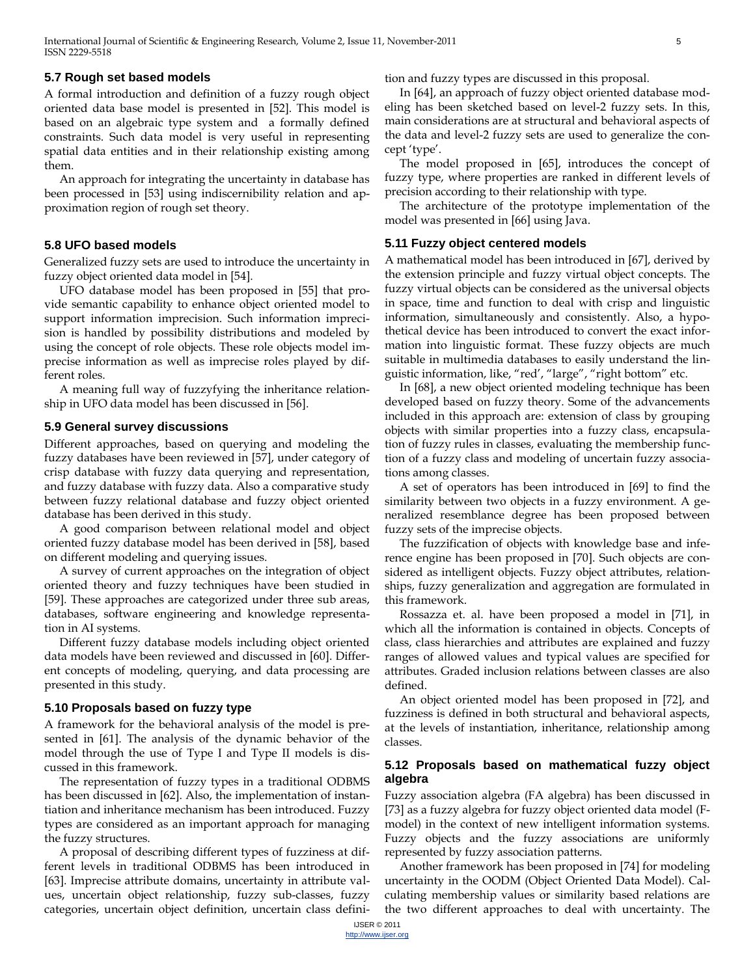#### **5.7 Rough set based models**

A formal introduction and definition of a fuzzy rough object oriented data base model is presented in [52]. This model is based on an algebraic type system and a formally defined constraints. Such data model is very useful in representing spatial data entities and in their relationship existing among them.

An approach for integrating the uncertainty in database has been processed in [53] using indiscernibility relation and approximation region of rough set theory.

## **5.8 UFO based models**

Generalized fuzzy sets are used to introduce the uncertainty in fuzzy object oriented data model in [54].

UFO database model has been proposed in [55] that provide semantic capability to enhance object oriented model to support information imprecision. Such information imprecision is handled by possibility distributions and modeled by using the concept of role objects. These role objects model imprecise information as well as imprecise roles played by different roles.

A meaning full way of fuzzyfying the inheritance relationship in UFO data model has been discussed in [56].

#### **5.9 General survey discussions**

Different approaches, based on querying and modeling the fuzzy databases have been reviewed in [57], under category of crisp database with fuzzy data querying and representation, and fuzzy database with fuzzy data. Also a comparative study between fuzzy relational database and fuzzy object oriented database has been derived in this study.

A good comparison between relational model and object oriented fuzzy database model has been derived in [58], based on different modeling and querying issues.

A survey of current approaches on the integration of object oriented theory and fuzzy techniques have been studied in [59]. These approaches are categorized under three sub areas, databases, software engineering and knowledge representation in AI systems.

Different fuzzy database models including object oriented data models have been reviewed and discussed in [60]. Different concepts of modeling, querying, and data processing are presented in this study.

#### **5.10 Proposals based on fuzzy type**

A framework for the behavioral analysis of the model is presented in [61]. The analysis of the dynamic behavior of the model through the use of Type I and Type II models is discussed in this framework.

The representation of fuzzy types in a traditional ODBMS has been discussed in [62]. Also, the implementation of instantiation and inheritance mechanism has been introduced. Fuzzy types are considered as an important approach for managing the fuzzy structures.

A proposal of describing different types of fuzziness at different levels in traditional ODBMS has been introduced in [63]. Imprecise attribute domains, uncertainty in attribute values, uncertain object relationship, fuzzy sub-classes, fuzzy categories, uncertain object definition, uncertain class definition and fuzzy types are discussed in this proposal.

In [64], an approach of fuzzy object oriented database modeling has been sketched based on level-2 fuzzy sets. In this, main considerations are at structural and behavioral aspects of the data and level-2 fuzzy sets are used to generalize the concept 'type'.

The model proposed in [65], introduces the concept of fuzzy type, where properties are ranked in different levels of precision according to their relationship with type.

The architecture of the prototype implementation of the model was presented in [66] using Java.

#### **5.11 Fuzzy object centered models**

A mathematical model has been introduced in [67], derived by the extension principle and fuzzy virtual object concepts. The fuzzy virtual objects can be considered as the universal objects in space, time and function to deal with crisp and linguistic information, simultaneously and consistently. Also, a hypothetical device has been introduced to convert the exact information into linguistic format. These fuzzy objects are much suitable in multimedia databases to easily understand the linguistic information, like, "red', "large", "right bottom" etc.

In [68], a new object oriented modeling technique has been developed based on fuzzy theory. Some of the advancements included in this approach are: extension of class by grouping objects with similar properties into a fuzzy class, encapsulation of fuzzy rules in classes, evaluating the membership function of a fuzzy class and modeling of uncertain fuzzy associations among classes.

A set of operators has been introduced in [69] to find the similarity between two objects in a fuzzy environment. A generalized resemblance degree has been proposed between fuzzy sets of the imprecise objects.

The fuzzification of objects with knowledge base and inference engine has been proposed in [70]. Such objects are considered as intelligent objects. Fuzzy object attributes, relationships, fuzzy generalization and aggregation are formulated in this framework.

Rossazza et. al. have been proposed a model in [71], in which all the information is contained in objects. Concepts of class, class hierarchies and attributes are explained and fuzzy ranges of allowed values and typical values are specified for attributes. Graded inclusion relations between classes are also defined.

An object oriented model has been proposed in [72], and fuzziness is defined in both structural and behavioral aspects, at the levels of instantiation, inheritance, relationship among classes.

#### **5.12 Proposals based on mathematical fuzzy object algebra**

Fuzzy association algebra (FA algebra) has been discussed in [73] as a fuzzy algebra for fuzzy object oriented data model (Fmodel) in the context of new intelligent information systems. Fuzzy objects and the fuzzy associations are uniformly represented by fuzzy association patterns.

Another framework has been proposed in [74] for modeling uncertainty in the OODM (Object Oriented Data Model). Calculating membership values or similarity based relations are the two different approaches to deal with uncertainty. The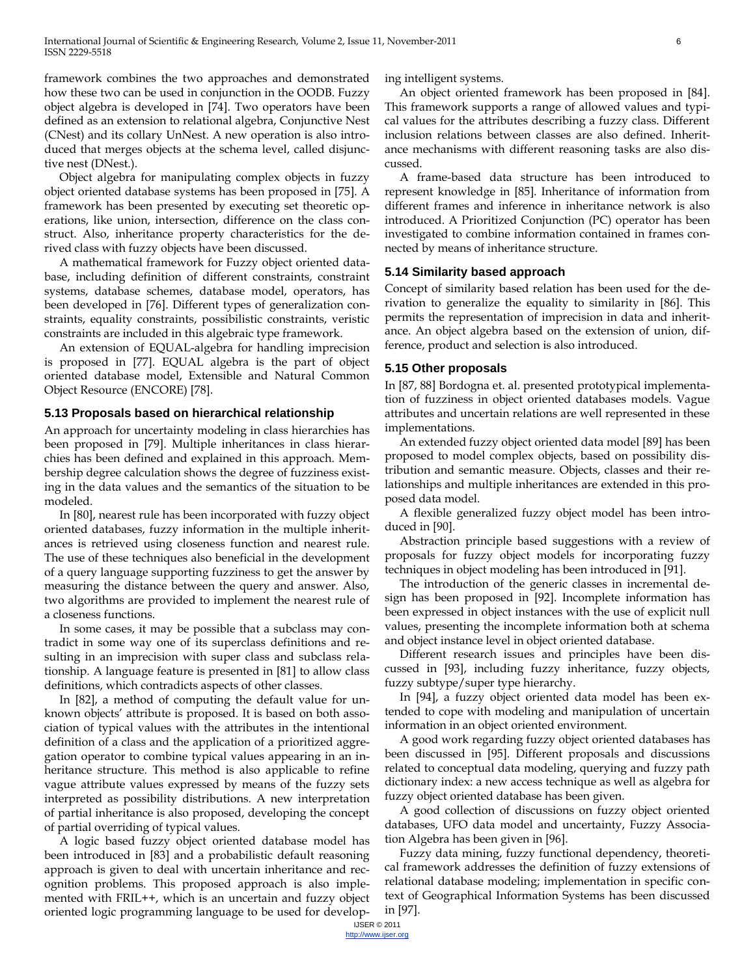framework combines the two approaches and demonstrated how these two can be used in conjunction in the OODB. Fuzzy object algebra is developed in [74]. Two operators have been defined as an extension to relational algebra, Conjunctive Nest (CNest) and its collary UnNest. A new operation is also introduced that merges objects at the schema level, called disjunctive nest (DNest.).

Object algebra for manipulating complex objects in fuzzy object oriented database systems has been proposed in [75]. A framework has been presented by executing set theoretic operations, like union, intersection, difference on the class construct. Also, inheritance property characteristics for the derived class with fuzzy objects have been discussed.

A mathematical framework for Fuzzy object oriented database, including definition of different constraints, constraint systems, database schemes, database model, operators, has been developed in [76]. Different types of generalization constraints, equality constraints, possibilistic constraints, veristic constraints are included in this algebraic type framework.

An extension of EQUAL-algebra for handling imprecision is proposed in [77]. EQUAL algebra is the part of object oriented database model, Extensible and Natural Common Object Resource (ENCORE) [78].

#### **5.13 Proposals based on hierarchical relationship**

An approach for uncertainty modeling in class hierarchies has been proposed in [79]. Multiple inheritances in class hierarchies has been defined and explained in this approach. Membership degree calculation shows the degree of fuzziness existing in the data values and the semantics of the situation to be modeled.

In [80], nearest rule has been incorporated with fuzzy object oriented databases, fuzzy information in the multiple inheritances is retrieved using closeness function and nearest rule. The use of these techniques also beneficial in the development of a query language supporting fuzziness to get the answer by measuring the distance between the query and answer. Also, two algorithms are provided to implement the nearest rule of a closeness functions.

In some cases, it may be possible that a subclass may contradict in some way one of its superclass definitions and resulting in an imprecision with super class and subclass relationship. A language feature is presented in [81] to allow class definitions, which contradicts aspects of other classes.

In [82], a method of computing the default value for unknown objects' attribute is proposed. It is based on both association of typical values with the attributes in the intentional definition of a class and the application of a prioritized aggregation operator to combine typical values appearing in an inheritance structure. This method is also applicable to refine vague attribute values expressed by means of the fuzzy sets interpreted as possibility distributions. A new interpretation of partial inheritance is also proposed, developing the concept of partial overriding of typical values.

A logic based fuzzy object oriented database model has been introduced in [83] and a probabilistic default reasoning approach is given to deal with uncertain inheritance and recognition problems. This proposed approach is also implemented with FRIL++, which is an uncertain and fuzzy object oriented logic programming language to be used for developing intelligent systems.

An object oriented framework has been proposed in [84]. This framework supports a range of allowed values and typical values for the attributes describing a fuzzy class. Different inclusion relations between classes are also defined. Inheritance mechanisms with different reasoning tasks are also discussed.

A frame-based data structure has been introduced to represent knowledge in [85]. Inheritance of information from different frames and inference in inheritance network is also introduced. A Prioritized Conjunction (PC) operator has been investigated to combine information contained in frames connected by means of inheritance structure.

#### **5.14 Similarity based approach**

Concept of similarity based relation has been used for the derivation to generalize the equality to similarity in [86]. This permits the representation of imprecision in data and inheritance. An object algebra based on the extension of union, difference, product and selection is also introduced.

#### **5.15 Other proposals**

In [87, 88] Bordogna et. al. presented prototypical implementation of fuzziness in object oriented databases models. Vague attributes and uncertain relations are well represented in these implementations.

An extended fuzzy object oriented data model [89] has been proposed to model complex objects, based on possibility distribution and semantic measure. Objects, classes and their relationships and multiple inheritances are extended in this proposed data model.

A flexible generalized fuzzy object model has been introduced in [90].

Abstraction principle based suggestions with a review of proposals for fuzzy object models for incorporating fuzzy techniques in object modeling has been introduced in [91].

The introduction of the generic classes in incremental design has been proposed in [92]. Incomplete information has been expressed in object instances with the use of explicit null values, presenting the incomplete information both at schema and object instance level in object oriented database.

Different research issues and principles have been discussed in [93], including fuzzy inheritance, fuzzy objects, fuzzy subtype/super type hierarchy.

In [94], a fuzzy object oriented data model has been extended to cope with modeling and manipulation of uncertain information in an object oriented environment.

A good work regarding fuzzy object oriented databases has been discussed in [95]. Different proposals and discussions related to conceptual data modeling, querying and fuzzy path dictionary index: a new access technique as well as algebra for fuzzy object oriented database has been given.

A good collection of discussions on fuzzy object oriented databases, UFO data model and uncertainty, Fuzzy Association Algebra has been given in [96].

Fuzzy data mining, fuzzy functional dependency, theoretical framework addresses the definition of fuzzy extensions of relational database modeling; implementation in specific context of Geographical Information Systems has been discussed in [97].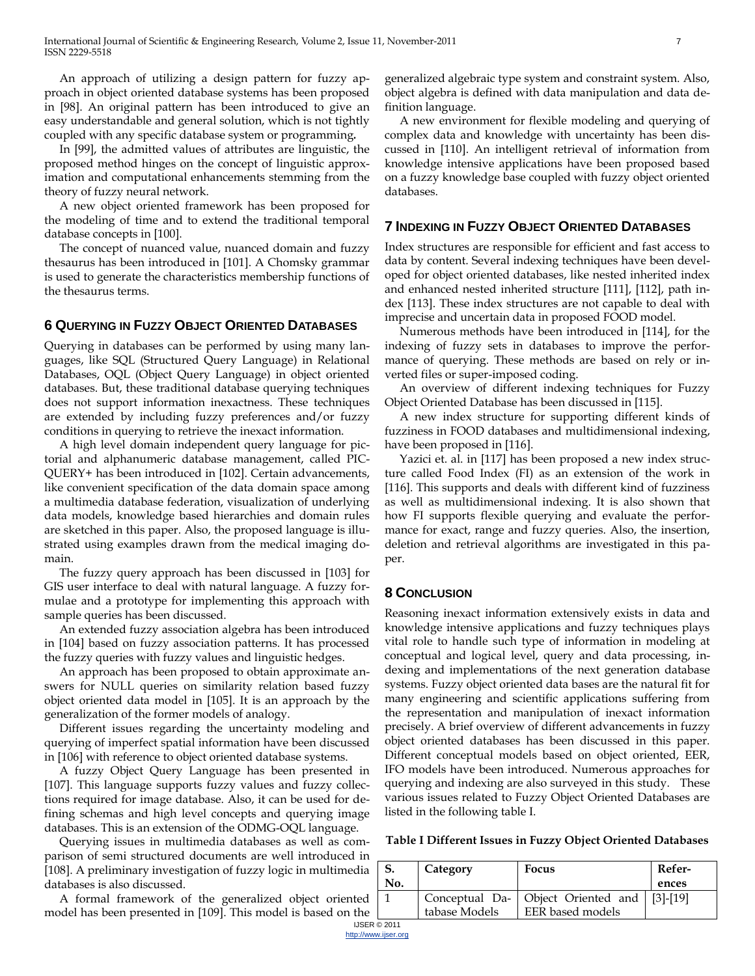An approach of utilizing a design pattern for fuzzy approach in object oriented database systems has been proposed in [98]. An original pattern has been introduced to give an easy understandable and general solution, which is not tightly coupled with any specific database system or programming*.* 

In [99], the admitted values of attributes are linguistic, the proposed method hinges on the concept of linguistic approximation and computational enhancements stemming from the theory of fuzzy neural network.

A new object oriented framework has been proposed for the modeling of time and to extend the traditional temporal database concepts in [100].

The concept of nuanced value, nuanced domain and fuzzy thesaurus has been introduced in [101]. A Chomsky grammar is used to generate the characteristics membership functions of the thesaurus terms.

# **6 QUERYING IN FUZZY OBJECT ORIENTED DATABASES**

Querying in databases can be performed by using many languages, like SQL (Structured Query Language) in Relational Databases, OQL (Object Query Language) in object oriented databases. But, these traditional database querying techniques does not support information inexactness. These techniques are extended by including fuzzy preferences and/or fuzzy conditions in querying to retrieve the inexact information.

A high level domain independent query language for pictorial and alphanumeric database management, called PIC-QUERY+ has been introduced in [102]. Certain advancements, like convenient specification of the data domain space among a multimedia database federation, visualization of underlying data models, knowledge based hierarchies and domain rules are sketched in this paper. Also, the proposed language is illustrated using examples drawn from the medical imaging domain.

The fuzzy query approach has been discussed in [103] for GIS user interface to deal with natural language. A fuzzy formulae and a prototype for implementing this approach with sample queries has been discussed.

An extended fuzzy association algebra has been introduced in [104] based on fuzzy association patterns. It has processed the fuzzy queries with fuzzy values and linguistic hedges.

An approach has been proposed to obtain approximate answers for NULL queries on similarity relation based fuzzy object oriented data model in [105]. It is an approach by the generalization of the former models of analogy.

Different issues regarding the uncertainty modeling and querying of imperfect spatial information have been discussed in [106] with reference to object oriented database systems.

A fuzzy Object Query Language has been presented in [107]. This language supports fuzzy values and fuzzy collections required for image database. Also, it can be used for defining schemas and high level concepts and querying image databases. This is an extension of the ODMG-OQL language.

Querying issues in multimedia databases as well as comparison of semi structured documents are well introduced in [108]. A preliminary investigation of fuzzy logic in multimedia databases is also discussed.

A formal framework of the generalized object oriented model has been presented in [109]. This model is based on the generalized algebraic type system and constraint system. Also, object algebra is defined with data manipulation and data definition language.

A new environment for flexible modeling and querying of complex data and knowledge with uncertainty has been discussed in [110]. An intelligent retrieval of information from knowledge intensive applications have been proposed based on a fuzzy knowledge base coupled with fuzzy object oriented databases.

# **7 INDEXING IN FUZZY OBJECT ORIENTED DATABASES**

Index structures are responsible for efficient and fast access to data by content. Several indexing techniques have been developed for object oriented databases, like nested inherited index and enhanced nested inherited structure [111], [112], path index [113]. These index structures are not capable to deal with imprecise and uncertain data in proposed FOOD model.

Numerous methods have been introduced in [114], for the indexing of fuzzy sets in databases to improve the performance of querying. These methods are based on rely or inverted files or super-imposed coding.

An overview of different indexing techniques for Fuzzy Object Oriented Database has been discussed in [115].

A new index structure for supporting different kinds of fuzziness in FOOD databases and multidimensional indexing, have been proposed in [116].

Yazici et. al. in [117] has been proposed a new index structure called Food Index (FI) as an extension of the work in [116]. This supports and deals with different kind of fuzziness as well as multidimensional indexing. It is also shown that how FI supports flexible querying and evaluate the performance for exact, range and fuzzy queries. Also, the insertion, deletion and retrieval algorithms are investigated in this paper.

#### **8 CONCLUSION**

Reasoning inexact information extensively exists in data and knowledge intensive applications and fuzzy techniques plays vital role to handle such type of information in modeling at conceptual and logical level, query and data processing, indexing and implementations of the next generation database systems. Fuzzy object oriented data bases are the natural fit for many engineering and scientific applications suffering from the representation and manipulation of inexact information precisely. A brief overview of different advancements in fuzzy object oriented databases has been discussed in this paper. Different conceptual models based on object oriented, EER, IFO models have been introduced. Numerous approaches for querying and indexing are also surveyed in this study. These various issues related to Fuzzy Object Oriented Databases are listed in the following table I.

**Table I Different Issues in Fuzzy Object Oriented Databases**

| .                   |     |               |                                                 |        |  |
|---------------------|-----|---------------|-------------------------------------------------|--------|--|
| ₽dia                |     | Category      | <b>Focus</b>                                    | Refer- |  |
|                     | No. |               |                                                 | ences  |  |
| ıted                |     |               | Conceptual Da-   Object Oriented and   [3]-[19] |        |  |
| the                 |     | tabase Models | EER based models                                |        |  |
| <b>IJSER © 2011</b> |     |               |                                                 |        |  |

http://www.ijser.org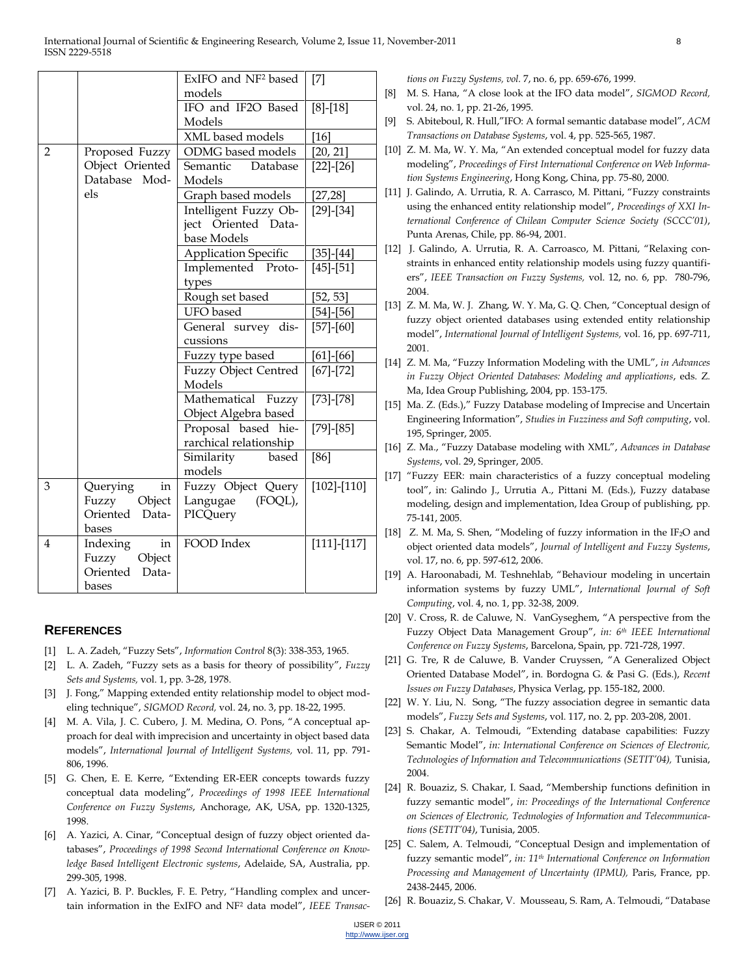| ExIFO and NF <sup>2</sup> based | $[7]$                                                                                                                                                                                                                                                                                                                                                                                                                                                                                                                                                                          |
|---------------------------------|--------------------------------------------------------------------------------------------------------------------------------------------------------------------------------------------------------------------------------------------------------------------------------------------------------------------------------------------------------------------------------------------------------------------------------------------------------------------------------------------------------------------------------------------------------------------------------|
| models                          |                                                                                                                                                                                                                                                                                                                                                                                                                                                                                                                                                                                |
|                                 | $[8]-[18]$                                                                                                                                                                                                                                                                                                                                                                                                                                                                                                                                                                     |
| Models                          |                                                                                                                                                                                                                                                                                                                                                                                                                                                                                                                                                                                |
|                                 | $[16]$                                                                                                                                                                                                                                                                                                                                                                                                                                                                                                                                                                         |
|                                 | [20, 21]                                                                                                                                                                                                                                                                                                                                                                                                                                                                                                                                                                       |
| Database                        | $[22] - [26]$                                                                                                                                                                                                                                                                                                                                                                                                                                                                                                                                                                  |
|                                 |                                                                                                                                                                                                                                                                                                                                                                                                                                                                                                                                                                                |
|                                 | [27,28]                                                                                                                                                                                                                                                                                                                                                                                                                                                                                                                                                                        |
|                                 | $[29]$ - $[34]$                                                                                                                                                                                                                                                                                                                                                                                                                                                                                                                                                                |
|                                 |                                                                                                                                                                                                                                                                                                                                                                                                                                                                                                                                                                                |
|                                 |                                                                                                                                                                                                                                                                                                                                                                                                                                                                                                                                                                                |
|                                 | $[35] - [44]$                                                                                                                                                                                                                                                                                                                                                                                                                                                                                                                                                                  |
|                                 | $[45]$ - $[51]$                                                                                                                                                                                                                                                                                                                                                                                                                                                                                                                                                                |
|                                 |                                                                                                                                                                                                                                                                                                                                                                                                                                                                                                                                                                                |
|                                 | [52, 53]                                                                                                                                                                                                                                                                                                                                                                                                                                                                                                                                                                       |
|                                 | $[54]$ - $[56]$                                                                                                                                                                                                                                                                                                                                                                                                                                                                                                                                                                |
|                                 | $[57] - [60]$                                                                                                                                                                                                                                                                                                                                                                                                                                                                                                                                                                  |
|                                 |                                                                                                                                                                                                                                                                                                                                                                                                                                                                                                                                                                                |
|                                 | $[61] - [66]$                                                                                                                                                                                                                                                                                                                                                                                                                                                                                                                                                                  |
|                                 | $[67]$ - $[72]$                                                                                                                                                                                                                                                                                                                                                                                                                                                                                                                                                                |
|                                 |                                                                                                                                                                                                                                                                                                                                                                                                                                                                                                                                                                                |
|                                 | $[73] - [78]$                                                                                                                                                                                                                                                                                                                                                                                                                                                                                                                                                                  |
|                                 |                                                                                                                                                                                                                                                                                                                                                                                                                                                                                                                                                                                |
|                                 | $[79] - [85]$                                                                                                                                                                                                                                                                                                                                                                                                                                                                                                                                                                  |
|                                 |                                                                                                                                                                                                                                                                                                                                                                                                                                                                                                                                                                                |
|                                 | $[86]$                                                                                                                                                                                                                                                                                                                                                                                                                                                                                                                                                                         |
|                                 |                                                                                                                                                                                                                                                                                                                                                                                                                                                                                                                                                                                |
|                                 | $[102] - [110]$                                                                                                                                                                                                                                                                                                                                                                                                                                                                                                                                                                |
|                                 |                                                                                                                                                                                                                                                                                                                                                                                                                                                                                                                                                                                |
|                                 |                                                                                                                                                                                                                                                                                                                                                                                                                                                                                                                                                                                |
|                                 | $[111] - [117]$                                                                                                                                                                                                                                                                                                                                                                                                                                                                                                                                                                |
|                                 |                                                                                                                                                                                                                                                                                                                                                                                                                                                                                                                                                                                |
|                                 |                                                                                                                                                                                                                                                                                                                                                                                                                                                                                                                                                                                |
|                                 |                                                                                                                                                                                                                                                                                                                                                                                                                                                                                                                                                                                |
|                                 | IFO and IF2O Based<br>XML based models<br>ODMG based models<br>Semantic<br>Models<br>Graph based models<br>Intelligent Fuzzy Ob-<br>Oriented Data-<br>ject<br>base Models<br><b>Application Specific</b><br>Implemented Proto-<br>types<br>Rough set based<br><b>UFO</b> based<br>General survey dis-<br>cussions<br>Fuzzy type based<br>Fuzzy Object Centred<br>Models<br>Mathematical<br>Fuzzy<br>Object Algebra based<br>Proposal based hie-<br>rarchical relationship<br>Similarity<br>based<br>models<br>Fuzzy Object Query<br>Langugae (FOQL),<br>PICQuery<br>FOOD Index |

#### **REFERENCES**

- [1] L. A. Zadeh, "Fuzzy Sets", *Information Control* 8(3): 338-353, 1965.
- [2] L. A. Zadeh, "Fuzzy sets as a basis for theory of possibility", *Fuzzy Sets and Systems,* vol. 1, pp. 3-28, 1978.
- [3] J. Fong," Mapping extended entity relationship model to object modeling technique", *SIGMOD Record*, vol. 24, no. 3, pp. 18-22, 1995.
- [4] M. A. Vila, J. C. Cubero, J. M. Medina, O. Pons, "A conceptual approach for deal with imprecision and uncertainty in object based data models‖, *International Journal of Intelligent Systems,* vol. 11, pp. 791- 806, 1996.
- [5] G. Chen, E. E. Kerre, "Extending ER-EER concepts towards fuzzy conceptual data modeling", Proceedings of 1998 IEEE International *Conference on Fuzzy Systems*, Anchorage, AK, USA, pp. 1320-1325, 1998.
- [6] A. Yazici, A. Cinar, "Conceptual design of fuzzy object oriented databases", Proceedings of 1998 Second International Conference on Know*ledge Based Intelligent Electronic systems*, Adelaide, SA, Australia, pp. 299-305, 1998.
- [7] A. Yazici, B. P. Buckles, F. E. Petry, "Handling complex and uncertain information in the ExIFO and NF<sup>2</sup> data model", *IEEE Transac-*

*tions on Fuzzy Systems, vol.* 7, no. 6, pp. 659-676, 1999.

- [8] M. S. Hana, "A close look at the IFO data model", *SIGMOD Record*, vol. 24, no. 1, pp. 21-26, 1995.
- [9] S. Abiteboul, R. Hull,"IFO: A formal semantic database model", *ACM Transactions on Database Systems*, vol. 4, pp. 525-565, 1987.
- [10] Z. M. Ma, W. Y. Ma, "An extended conceptual model for fuzzy data modeling‖, *Proceedings of First International Conference on Web Information Systems Engineering*, Hong Kong, China, pp. 75-80, 2000.
- [11] J. Galindo, A. Urrutia, R. A. Carrasco, M. Pittani, "Fuzzy constraints using the enhanced entity relationship model", Proceedings of XXI In*ternational Conference of Chilean Computer Science Society (SCCC'01)*, Punta Arenas, Chile, pp. 86-94, 2001.
- [12] J. Galindo, A. Urrutia, R. A. Carroasco, M. Pittani, "Relaxing constraints in enhanced entity relationship models using fuzzy quantifiers‖, *IEEE Transaction on Fuzzy Systems,* vol. 12, no. 6, pp. 780-796, 2004.
- [13] Z. M. Ma, W. J. Zhang, W. Y. Ma, G. Q. Chen, "Conceptual design of fuzzy object oriented databases using extended entity relationship model‖, *International Journal of Intelligent Systems,* vol. 16, pp. 697-711, 2001.
- [14] Z. M. Ma, "Fuzzy Information Modeling with the UML", *in Advances in Fuzzy Object Oriented Databases: Modeling and applications*, eds. Z. Ma, Idea Group Publishing, 2004, pp. 153-175.
- [15] Ma. Z. (Eds.)," Fuzzy Database modeling of Imprecise and Uncertain Engineering Information‖, *Studies in Fuzziness and Soft computing*, vol. 195, Springer, 2005.
- [16] Z. Ma., "Fuzzy Database modeling with XML", Advances in Database *Systems*, vol. 29, Springer, 2005.
- [17] "Fuzzy EER: main characteristics of a fuzzy conceptual modeling tool", in: Galindo J., Urrutia A., Pittani M. (Eds.), Fuzzy database modeling, design and implementation, Idea Group of publishing, pp. 75-141, 2005.
- [18] Z. M. Ma, S. Shen, "Modeling of fuzzy information in the IF<sub>2</sub>O and object oriented data models‖, *Journal of Intelligent and Fuzzy Systems*, vol. 17, no. 6, pp. 597-612, 2006.
- [19] A. Haroonabadi, M. Teshnehlab, "Behaviour modeling in uncertain information systems by fuzzy UML‖, *International Journal of Soft Computing*, vol. 4, no. 1, pp. 32-38, 2009.
- [20] V. Cross, R. de Caluwe, N. VanGyseghem, "A perspective from the Fuzzy Object Data Management Group", in: 6<sup>th</sup> IEEE International *Conference on Fuzzy Systems*, Barcelona, Spain, pp. 721-728, 1997.
- [21] G. Tre, R de Caluwe, B. Vander Cruyssen, "A Generalized Object Oriented Database Model‖, in. Bordogna G. & Pasi G. (Eds.), *Recent Issues on Fuzzy Databases*, Physica Verlag, pp. 155-182, 2000.
- [22] W. Y. Liu, N. Song, "The fuzzy association degree in semantic data models‖, *Fuzzy Sets and Systems*, vol. 117, no. 2, pp. 203-208, 2001.
- [23] S. Chakar, A. Telmoudi, "Extending database capabilities: Fuzzy Semantic Model", *in: International Conference on Sciences of Electronic*, *Technologies of Information and Telecommunications (SETIT'04),* Tunisia, 2004.
- [24] R. Bouaziz, S. Chakar, I. Saad, "Membership functions definition in fuzzy semantic model", *in: Proceedings of the International Conference on Sciences of Electronic, Technologies of Information and Telecommunications (SETIT'04)*, Tunisia, 2005.
- [25] C. Salem, A. Telmoudi, "Conceptual Design and implementation of fuzzy semantic model", *in:* 11<sup>th</sup> International Conference on Information *Processing and Management of Uncertainty (IPMU),* Paris, France, pp. 2438-2445, 2006.
- [26] R. Bouaziz, S. Chakar, V. Mousseau, S. Ram, A. Telmoudi, "Database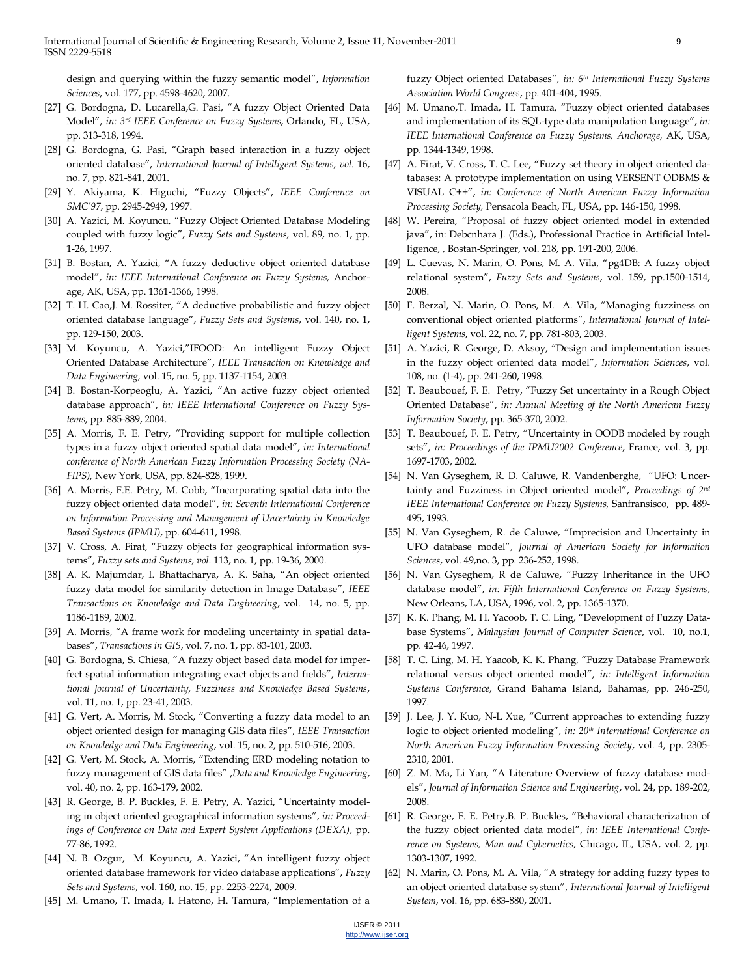design and querying within the fuzzy semantic model", *Information Sciences*, vol. 177, pp. 4598-4620, 2007.

- [27] G. Bordogna, D. Lucarella, G. Pasi, "A fuzzy Object Oriented Data Model‖, *in: 3rd IEEE Conference on Fuzzy Systems*, Orlando, FL, USA, pp. 313-318, 1994.
- [28] G. Bordogna, G. Pasi, "Graph based interaction in a fuzzy object oriented database‖, *International Journal of Intelligent Systems, vol.* 16, no. 7, pp. 821-841, 2001.
- [29] Y. Akiyama, K. Higuchi, "Fuzzy Objects", IEEE Conference on *SMC'97*, pp. 2945-2949, 1997.
- [30] A. Yazici, M. Koyuncu, "Fuzzy Object Oriented Database Modeling coupled with fuzzy logic", *Fuzzy Sets and Systems*, vol. 89, no. 1, pp. 1-26, 1997.
- [31] B. Bostan, A. Yazici, "A fuzzy deductive object oriented database model‖, *in: IEEE International Conference on Fuzzy Systems,* Anchorage, AK, USA, pp. 1361-1366, 1998.
- [32] T. H. Cao, J. M. Rossiter, "A deductive probabilistic and fuzzy object oriented database language‖, *Fuzzy Sets and Systems*, vol. 140, no. 1, pp. 129-150, 2003.
- [33] M. Koyuncu, A. Yazici,"IFOOD: An intelligent Fuzzy Object Oriented Database Architecture‖, *IEEE Transaction on Knowledge and Data Engineering,* vol. 15, no. 5, pp. 1137-1154, 2003.
- [34] B. Bostan-Korpeoglu, A. Yazici, "An active fuzzy object oriented database approach", in: IEEE International Conference on Fuzzy Sys*tems*, pp. 885-889, 2004.
- [35] A. Morris, F. E. Petry, "Providing support for multiple collection types in a fuzzy object oriented spatial data model", *in: International conference of North American Fuzzy Information Processing Society (NA-FIPS),* New York, USA, pp. 824-828, 1999.
- [36] A. Morris, F.E. Petry, M. Cobb, "Incorporating spatial data into the fuzzy object oriented data model", *in: Seventh International Conference on Information Processing and Management of Uncertainty in Knowledge Based Systems (IPMU)*, pp. 604-611, 1998.
- [37] V. Cross, A. Firat, "Fuzzy objects for geographical information systems‖, *Fuzzy sets and Systems, vol.* 113, no. 1, pp. 19-36, 2000.
- [38] A. K. Majumdar, I. Bhattacharya, A. K. Saha, "An object oriented fuzzy data model for similarity detection in Image Database", *IEEE Transactions on Knowledge and Data Engineering*, vol. 14, no. 5, pp. 1186-1189, 2002.
- [39] A. Morris, "A frame work for modeling uncertainty in spatial databases‖, *Transactions in GIS*, vol. 7, no. 1, pp. 83-101, 2003.
- [40] G. Bordogna, S. Chiesa, "A fuzzy object based data model for imperfect spatial information integrating exact objects and fields", Interna*tional Journal of Uncertainty, Fuzziness and Knowledge Based Systems*, vol. 11, no. 1, pp. 23-41, 2003.
- [41] G. Vert, A. Morris, M. Stock, "Converting a fuzzy data model to an object oriented design for managing GIS data files‖, *IEEE Transaction on Knowledge and Data Engineering*, vol. 15, no. 2, pp. 510-516, 2003.
- [42] G. Vert, M. Stock, A. Morris, "Extending ERD modeling notation to fuzzy management of GIS data files‖ ,*Data and Knowledge Engineering*, vol. 40, no. 2, pp. 163-179, 2002.
- [43] R. George, B. P. Buckles, F. E. Petry, A. Yazici, "Uncertainty modeling in object oriented geographical information systems", in: Proceed*ings of Conference on Data and Expert System Applications (DEXA)*, pp. 77-86, 1992.
- [44] N. B. Ozgur, M. Koyuncu, A. Yazici, "An intelligent fuzzy object oriented database framework for video database applications", *Fuzzy Sets and Systems,* vol. 160, no. 15, pp. 2253-2274, 2009.
- [45] M. Umano, T. Imada, I. Hatono, H. Tamura, "Implementation of a

fuzzy Object oriented Databases", *in: 6<sup>th</sup> International Fuzzy Systems Association World Congress*, pp. 401-404, 1995.

- [46] M. Umano, T. Imada, H. Tamura, "Fuzzy object oriented databases and implementation of its SQL-type data manipulation language", in: *IEEE International Conference on Fuzzy Systems, Anchorage,* AK, USA, pp. 1344-1349, 1998.
- [47] A. Firat, V. Cross, T. C. Lee, "Fuzzy set theory in object oriented databases: A prototype implementation on using VERSENT ODBMS & VISUAL C++‖, *in: Conference of North American Fuzzy Information Processing Society,* Pensacola Beach, FL, USA, pp. 146-150, 1998.
- [48] W. Pereira, "Proposal of fuzzy object oriented model in extended java", in: Debcnhara J. (Eds.), Professional Practice in Artificial Intelligence, , Bostan-Springer, vol. 218, pp. 191-200, 2006.
- [49] L. Cuevas, N. Marin, O. Pons, M. A. Vila, "pg4DB: A fuzzy object relational system‖, *Fuzzy Sets and Systems*, vol. 159, pp.1500-1514, 2008.
- [50] F. Berzal, N. Marin, O. Pons, M. A. Vila, "Managing fuzziness on conventional object oriented platforms", International Journal of Intel*ligent Systems*, vol. 22, no. 7, pp. 781-803, 2003.
- [51] A. Yazici, R. George, D. Aksoy, "Design and implementation issues in the fuzzy object oriented data model", *Information Sciences*, vol. 108, no. (1-4), pp. 241-260, 1998.
- [52] T. Beaubouef, F. E. Petry, "Fuzzy Set uncertainty in a Rough Object Oriented Database", *in: Annual Meeting of the North American Fuzzy Information Society*, pp. 365-370, 2002.
- [53] T. Beaubouef, F. E. Petry, "Uncertainty in OODB modeled by rough sets", in: Proceedings of the IPMU2002 Conference, France, vol. 3, pp. 1697-1703, 2002.
- [54] N. Van Gyseghem, R. D. Caluwe, R. Vandenberghe, "UFO: Uncertainty and Fuzziness in Object oriented model", Proceedings of 2<sup>nd</sup> *IEEE International Conference on Fuzzy Systems,* Sanfransisco, pp. 489- 495, 1993.
- [55] N. Van Gyseghem, R. de Caluwe, "Imprecision and Uncertainty in UFO database model‖, *Journal of American Society for Information Sciences*, vol. 49,no. 3, pp. 236-252, 1998.
- [56] N. Van Gyseghem, R de Caluwe, "Fuzzy Inheritance in the UFO database model‖, *in: Fifth International Conference on Fuzzy Systems*, New Orleans, LA, USA, 1996, vol. 2, pp. 1365-1370.
- [57] K. K. Phang, M. H. Yacoob, T. C. Ling, "Development of Fuzzy Database Systems‖, *Malaysian Journal of Computer Science*, vol. 10, no.1, pp. 42-46, 1997.
- [58] T. C. Ling, M. H. Yaacob, K. K. Phang, "Fuzzy Database Framework relational versus object oriented model", *in: Intelligent Information Systems Conference*, Grand Bahama Island, Bahamas, pp. 246-250, 1997.
- [59] J. Lee, J. Y. Kuo, N-L Xue, "Current approaches to extending fuzzy logic to object oriented modeling", *in:* 20<sup>th</sup> International Conference on *North American Fuzzy Information Processing Society*, vol. 4, pp. 2305- 2310, 2001.
- [60] Z. M. Ma, Li Yan, "A Literature Overview of fuzzy database models‖, *Journal of Information Science and Engineering*, vol. 24, pp. 189-202, 2008.
- [61] R. George, F. E. Petry, B. P. Buckles, "Behavioral characterization of the fuzzy object oriented data model", in: IEEE International Confe*rence on Systems, Man and Cybernetics*, Chicago, IL, USA, vol. 2, pp. 1303-1307, 1992.
- [62] N. Marin, O. Pons, M. A. Vila, "A strategy for adding fuzzy types to an object oriented database system", *International Journal of Intelligent System*, vol. 16, pp. 683-880, 2001.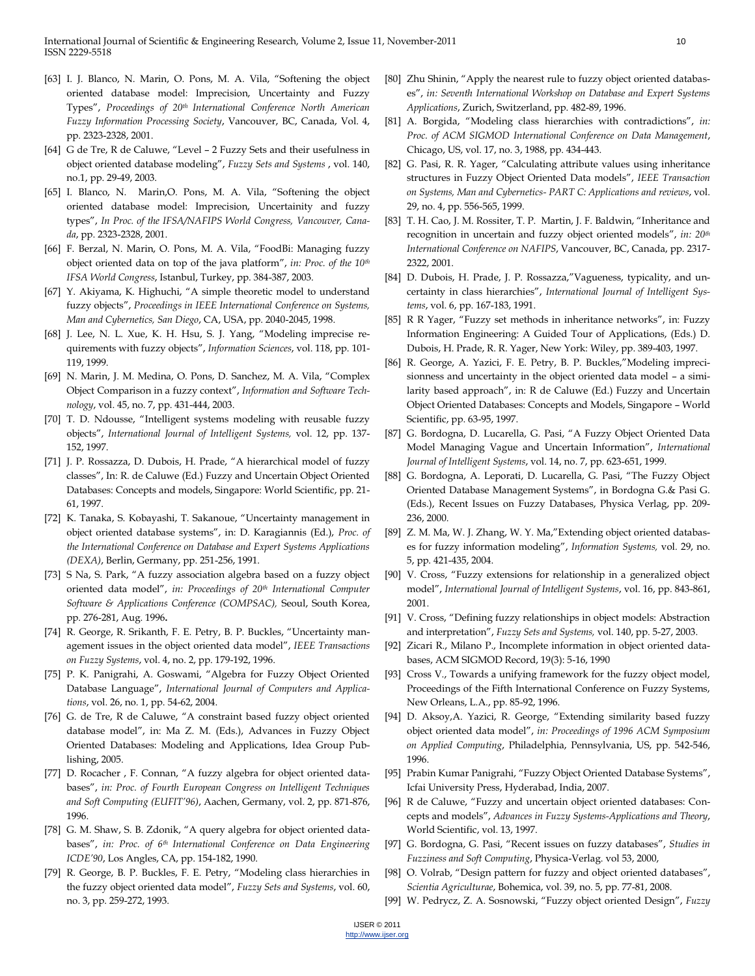- [63] I. J. Blanco, N. Marin, O. Pons, M. A. Vila, "Softening the object oriented database model: Imprecision, Uncertainty and Fuzzy Types‖, *Proceedings of 20th International Conference North American Fuzzy Information Processing Society*, Vancouver, BC, Canada, Vol. 4, pp. 2323-2328, 2001.
- [64] G de Tre, R de Caluwe, "Level 2 Fuzzy Sets and their usefulness in object oriented database modeling‖, *Fuzzy Sets and Systems* , vol. 140, no.1, pp. 29-49, 2003.
- [65] I. Blanco, N. Marin, O. Pons, M. A. Vila, "Softening the object oriented database model: Imprecision, Uncertainity and fuzzy types", In Proc. of the IFSA/NAFIPS World Congress, Vancouver, Cana*da*, pp. 2323-2328, 2001.
- [66] F. Berzal, N. Marin, O. Pons, M. A. Vila, "FoodBi: Managing fuzzy object oriented data on top of the java platform", *in: Proc. of the* 10<sup>th</sup> *IFSA World Congress*, Istanbul, Turkey, pp. 384-387, 2003.
- [67] Y. Akiyama, K. Highuchi, "A simple theoretic model to understand fuzzy objects", Proceedings in IEEE International Conference on Systems, *Man and Cybernetics, San Diego*, CA, USA, pp. 2040-2045, 1998.
- [68] J. Lee, N. L. Xue, K. H. Hsu, S. J. Yang, "Modeling imprecise requirements with fuzzy objects‖, *Information Sciences*, vol. 118, pp. 101- 119, 1999.
- [69] N. Marin, J. M. Medina, O. Pons, D. Sanchez, M. A. Vila, "Complex Object Comparison in a fuzzy context", Information and Software Tech*nology*, vol. 45, no. 7, pp. 431-444, 2003.
- [70] T. D. Ndousse, "Intelligent systems modeling with reusable fuzzy objects‖, *International Journal of Intelligent Systems,* vol. 12, pp. 137- 152, 1997.
- [71] J. P. Rossazza, D. Dubois, H. Prade, "A hierarchical model of fuzzy classes", In: R. de Caluwe (Ed.) Fuzzy and Uncertain Object Oriented Databases: Concepts and models, Singapore: World Scientific, pp. 21- 61, 1997.
- [72] K. Tanaka, S. Kobayashi, T. Sakanoue, "Uncertainty management in object oriented database systems‖, in: D. Karagiannis (Ed.), *Proc. of the International Conference on Database and Expert Systems Applications (DEXA)*, Berlin, Germany, pp. 251-256, 1991.
- [73] S Na, S. Park, "A fuzzy association algebra based on a fuzzy object oriented data model", in: Proceedings of 20<sup>th</sup> International Computer *Software & Applications Conference (COMPSAC),* Seoul, South Korea, pp. 276-281, Aug. 1996**.**
- [74] R. George, R. Srikanth, F. E. Petry, B. P. Buckles, "Uncertainty management issues in the object oriented data model", *IEEE Transactions on Fuzzy Systems*, vol. 4, no. 2, pp. 179-192, 1996.
- [75] P. K. Panigrahi, A. Goswami, "Algebra for Fuzzy Object Oriented Database Language", International Journal of Computers and Applica*tions*, vol. 26, no. 1, pp. 54-62, 2004.
- [76] G. de Tre, R de Caluwe, "A constraint based fuzzy object oriented database model", in: Ma Z. M. (Eds.), Advances in Fuzzy Object Oriented Databases: Modeling and Applications, Idea Group Publishing, 2005.
- [77] D. Rocacher, F. Connan, "A fuzzy algebra for object oriented databases", in: Proc. of Fourth European Congress on Intelligent Techniques *and Soft Computing (EUFIT'96)*, Aachen, Germany, vol. 2, pp. 871-876, 1996.
- [78] G. M. Shaw, S. B. Zdonik, "A query algebra for object oriented databases‖, *in: Proc. of 6th International Conference on Data Engineering ICDE'90*, Los Angles, CA, pp. 154-182, 1990.
- [79] R. George, B. P. Buckles, F. E. Petry, "Modeling class hierarchies in the fuzzy object oriented data model", *Fuzzy Sets and Systems*, vol. 60, no. 3, pp. 259-272, 1993.
- [80] Zhu Shinin, "Apply the nearest rule to fuzzy object oriented databases", in: Seventh International Workshop on Database and Expert Systems *Applications*, Zurich, Switzerland, pp. 482-89, 1996.
- [81] A. Borgida, "Modeling class hierarchies with contradictions", in: *Proc. of ACM SIGMOD International Conference on Data Management*, Chicago, US, vol. 17, no. 3, 1988, pp. 434-443.
- [82] G. Pasi, R. R. Yager, "Calculating attribute values using inheritance structures in Fuzzy Object Oriented Data models", IEEE Transaction *on Systems, Man and Cybernetics- PART C: Applications and reviews*, vol. 29, no. 4, pp. 556-565, 1999.
- [83] T. H. Cao, J. M. Rossiter, T. P. Martin, J. F. Baldwin, "Inheritance and recognition in uncertain and fuzzy object oriented models", *in*: 20<sup>th</sup> *International Conference on NAFIPS*, Vancouver, BC, Canada, pp. 2317- 2322, 2001.
- [84] D. Dubois, H. Prade, J. P. Rossazza,"Vagueness, typicality, and uncertainty in class hierarchies", International Journal of Intelligent Sys*tems*, vol. 6, pp. 167-183, 1991.
- [85] R R Yager, "Fuzzy set methods in inheritance networks", in: Fuzzy Information Engineering: A Guided Tour of Applications, (Eds.) D. Dubois, H. Prade, R. R. Yager, New York: Wiley, pp. 389-403, 1997.
- [86] R. George, A. Yazici, F. E. Petry, B. P. Buckles,"Modeling imprecisionness and uncertainty in the object oriented data model – a similarity based approach", in: R de Caluwe (Ed.) Fuzzy and Uncertain Object Oriented Databases: Concepts and Models, Singapore – World Scientific, pp. 63-95, 1997.
- [87] G. Bordogna, D. Lucarella, G. Pasi, "A Fuzzy Object Oriented Data Model Managing Vague and Uncertain Information‖, *International Journal of Intelligent Systems*, vol. 14, no. 7, pp. 623-651, 1999.
- [88] G. Bordogna, A. Leporati, D. Lucarella, G. Pasi, "The Fuzzy Object Oriented Database Management Systems‖, in Bordogna G.& Pasi G. (Eds.), Recent Issues on Fuzzy Databases, Physica Verlag, pp. 209- 236, 2000.
- [89] Z. M. Ma, W. J. Zhang, W. Y. Ma,"Extending object oriented databases for fuzzy information modeling", *Information Systems*, vol. 29, no. 5, pp. 421-435, 2004.
- [90] V. Cross, "Fuzzy extensions for relationship in a generalized object model‖, *International Journal of Intelligent Systems*, vol. 16, pp. 843-861, 2001.
- [91] V. Cross, "Defining fuzzy relationships in object models: Abstraction and interpretation", *Fuzzy Sets and Systems*, vol. 140, pp. 5-27, 2003.
- [92] Zicari R., Milano P., Incomplete information in object oriented databases, ACM SIGMOD Record, 19(3): 5-16, 1990
- [93] Cross V., Towards a unifying framework for the fuzzy object model, Proceedings of the Fifth International Conference on Fuzzy Systems, New Orleans, L.A., pp. 85-92, 1996.
- [94] D. Aksoy, A. Yazici, R. George, "Extending similarity based fuzzy object oriented data model", *in: Proceedings of 1996 ACM Symposium on Applied Computing*, Philadelphia, Pennsylvania, US, pp. 542-546, 1996.
- [95] Prabin Kumar Panigrahi, "Fuzzy Object Oriented Database Systems", Icfai University Press, Hyderabad, India, 2007.
- [96] R de Caluwe, "Fuzzy and uncertain object oriented databases: Concepts and models‖, *Advances in Fuzzy Systems-Applications and Theory*, World Scientific, vol. 13, 1997.
- [97] G. Bordogna, G. Pasi, "Recent issues on fuzzy databases", *Studies in Fuzziness and Soft Computing*, Physica-Verlag. vol 53, 2000,
- [98] O. Volrab, "Design pattern for fuzzy and object oriented databases", *Scientia Agriculturae*, Bohemica, vol. 39, no. 5, pp. 77-81, 2008.
- [99] W. Pedrycz, Z. A. Sosnowski, "Fuzzy object oriented Design", *Fuzzy*